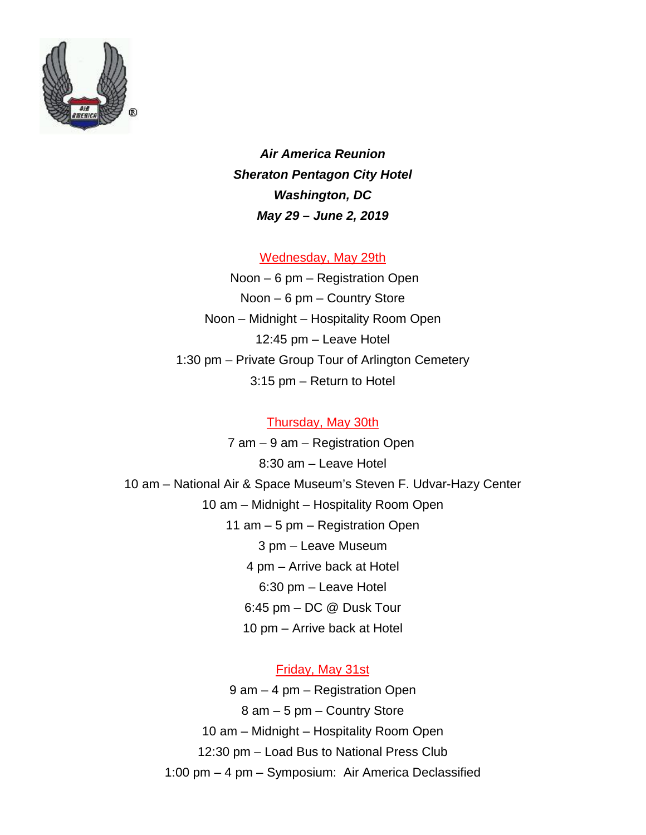

*Air America Reunion Sheraton Pentagon City Hotel Washington, DC May 29 – June 2, 2019*

Wednesday, May 29th

Noon – 6 pm – Registration Open Noon – 6 pm – Country Store Noon – Midnight – Hospitality Room Open 12:45 pm – Leave Hotel 1:30 pm – Private Group Tour of Arlington Cemetery 3:15 pm – Return to Hotel

## Thursday, May 30th

7 am – 9 am – Registration Open 8:30 am – Leave Hotel 10 am – National Air & Space Museum's Steven F. Udvar-Hazy Center 10 am – Midnight – Hospitality Room Open 11 am – 5 pm – Registration Open 3 pm – Leave Museum 4 pm – Arrive back at Hotel 6:30 pm – Leave Hotel 6:45 pm – DC @ Dusk Tour 10 pm – Arrive back at Hotel

## Friday, May 31st

9 am – 4 pm – Registration Open 8 am – 5 pm – Country Store 10 am – Midnight – Hospitality Room Open 12:30 pm – Load Bus to National Press Club 1:00 pm – 4 pm – Symposium: Air America Declassified